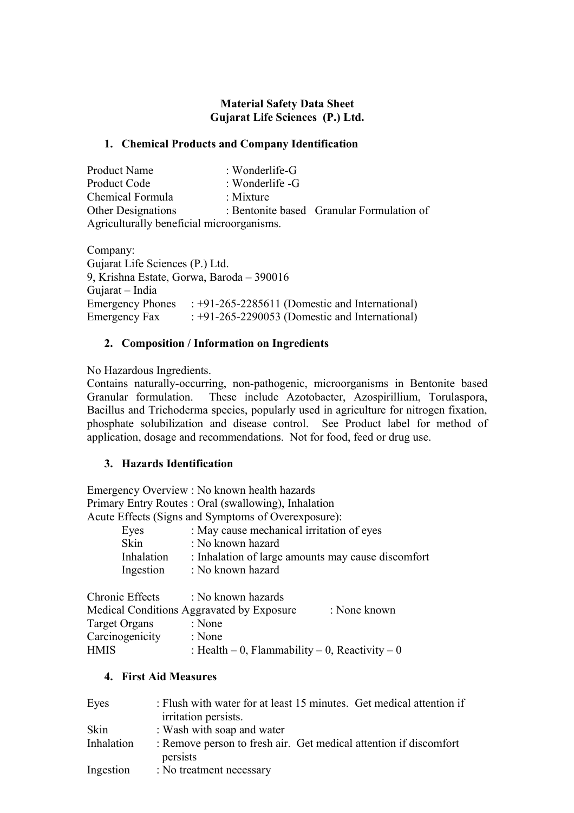# **Material Safety Data Sheet Gujarat Life Sciences (P.) Ltd.**

## **1. Chemical Products and Company Identification**

| Product Name                              | : Wonderlife-G  |                                           |
|-------------------------------------------|-----------------|-------------------------------------------|
| Product Code                              | : Wonderlife -G |                                           |
| Chemical Formula                          | : Mixture       |                                           |
| <b>Other Designations</b>                 |                 | : Bentonite based Granular Formulation of |
| Agriculturally beneficial microorganisms. |                 |                                           |

Company: Gujarat Life Sciences (P.) Ltd. 9, Krishna Estate, Gorwa, Baroda – 390016 Gujarat – India Emergency Phones : +91-265-2285611 (Domestic and International) Emergency Fax : +91-265-2290053 (Domestic and International)

## **2. Composition / Information on Ingredients**

No Hazardous Ingredients.

Contains naturally-occurring, non-pathogenic, microorganisms in Bentonite based Granular formulation. These include Azotobacter, Azospirillium, Torulaspora, Bacillus and Trichoderma species, popularly used in agriculture for nitrogen fixation, phosphate solubilization and disease control. See Product label for method of application, dosage and recommendations. Not for food, feed or drug use.

# **3. Hazards Identification**

Emergency Overview : No known health hazards Primary Entry Routes : Oral (swallowing), Inhalation Acute Effects (Signs and Symptoms of Overexposure):

| Eyes        | : May cause mechanical irritation of eyes          |
|-------------|----------------------------------------------------|
| <b>Skin</b> | : No known hazard                                  |
| Inhalation  | : Inhalation of large amounts may cause discomfort |
| Ingestion   | : No known hazard                                  |

| Chronic Effects | : No known hazards                             |              |
|-----------------|------------------------------------------------|--------------|
|                 | Medical Conditions Aggravated by Exposure      | : None known |
| Target Organs   | : None                                         |              |
| Carcinogenicity | : None                                         |              |
| <b>HMIS</b>     | : Health – 0, Flammability – 0, Reactivity – 0 |              |

#### **4. First Aid Measures**

| Eyes       | : Flush with water for at least 15 minutes. Get medical attention if<br>irritation persists. |
|------------|----------------------------------------------------------------------------------------------|
| Skin       | : Wash with soap and water                                                                   |
| Inhalation | : Remove person to fresh air. Get medical attention if discomfort<br>persists                |
| Ingestion  | : No treatment necessary                                                                     |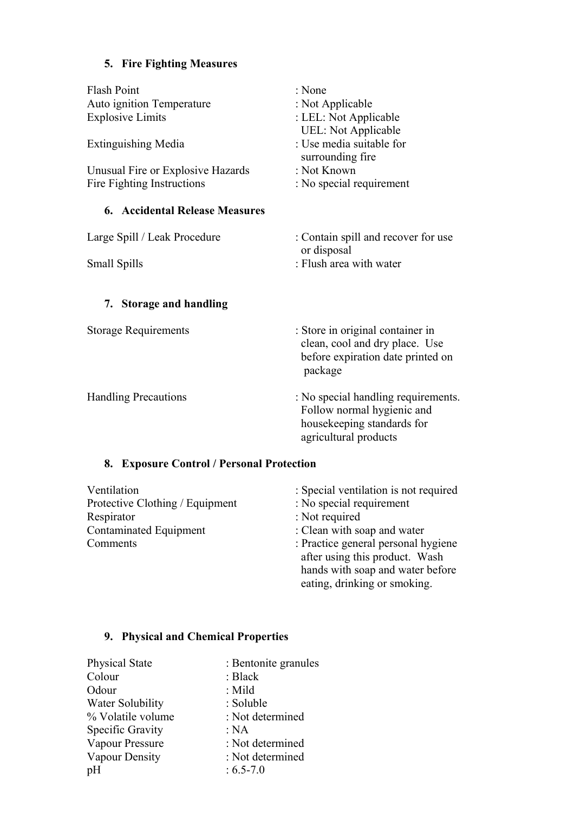# **5. Fire Fighting Measures**

| : None                                                                                                                   |
|--------------------------------------------------------------------------------------------------------------------------|
| : Not Applicable                                                                                                         |
| : LEL: Not Applicable                                                                                                    |
| <b>UEL: Not Applicable</b>                                                                                               |
| : Use media suitable for                                                                                                 |
| surrounding fire                                                                                                         |
| : Not Known                                                                                                              |
| : No special requirement                                                                                                 |
|                                                                                                                          |
| : Contain spill and recover for use<br>or disposal                                                                       |
| : Flush area with water                                                                                                  |
|                                                                                                                          |
|                                                                                                                          |
| : Store in original container in<br>clean, cool and dry place. Use<br>before expiration date printed on<br>package       |
| : No special handling requirements.<br>Follow normal hygienic and<br>housekeeping standards for<br>agricultural products |
| 8. Exposure Control / Personal Protection                                                                                |
| : Special ventilation is not required                                                                                    |
|                                                                                                                          |

Protective Clothing / Equipment : No special requirement<br>Respirator : Not required Respirator : Not required<br>
Contaminated Equipment : Clean with so : Clean with soap and water Comments : Practice general personal hygiene after using this product. Wash hands with soap and water before eating, drinking or smoking.

# **9. Physical and Chemical Properties**

| : Bentonite granules |
|----------------------|
| : Black              |
| $:$ Mild             |
| : Soluble            |
| : Not determined     |
| : NA                 |
| : Not determined     |
| : Not determined     |
| $: 6.5 - 7.0$        |
|                      |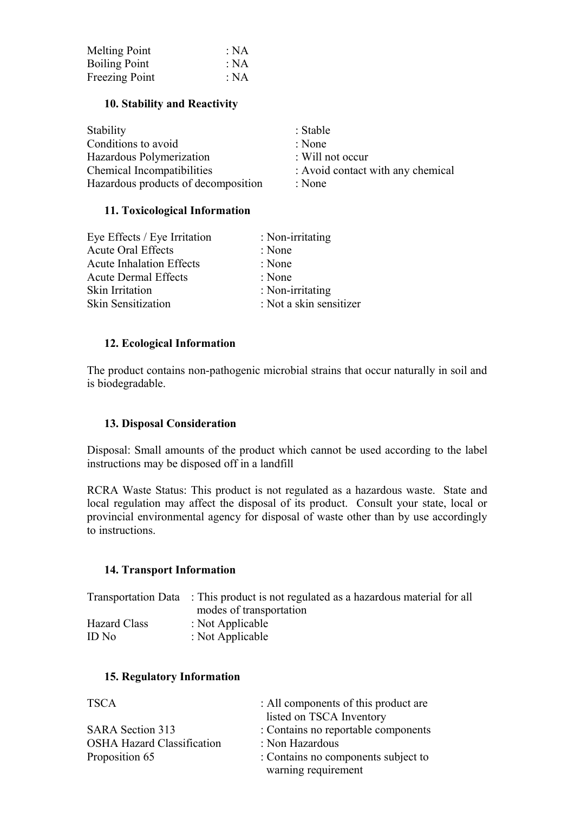| <b>Melting Point</b> | : NA |
|----------------------|------|
| <b>Boiling Point</b> | : NA |
| Freezing Point       | : NA |

## **10. Stability and Reactivity**

| Stability                           | : Stable                          |
|-------------------------------------|-----------------------------------|
| Conditions to avoid                 | : None                            |
| Hazardous Polymerization            | : Will not occur                  |
| Chemical Incompatibilities          | : Avoid contact with any chemical |
| Hazardous products of decomposition | : None                            |

## **11. Toxicological Information**

| Eye Effects / Eye Irritation    | : Non-irritating        |
|---------------------------------|-------------------------|
| <b>Acute Oral Effects</b>       | : None                  |
| <b>Acute Inhalation Effects</b> | : None                  |
| <b>Acute Dermal Effects</b>     | : None                  |
| Skin Irritation                 | : Non-irritating        |
| <b>Skin Sensitization</b>       | : Not a skin sensitizer |

## **12. Ecological Information**

The product contains non-pathogenic microbial strains that occur naturally in soil and is biodegradable.

#### **13. Disposal Consideration**

Disposal: Small amounts of the product which cannot be used according to the label instructions may be disposed off in a landfill

RCRA Waste Status: This product is not regulated as a hazardous waste. State and local regulation may affect the disposal of its product. Consult your state, local or provincial environmental agency for disposal of waste other than by use accordingly to instructions.

#### **14. Transport Information**

|                     | Transportation Data : This product is not regulated as a hazardous material for all |
|---------------------|-------------------------------------------------------------------------------------|
|                     | modes of transportation                                                             |
| <b>Hazard Class</b> | : Not Applicable                                                                    |
| ID No               | : Not Applicable                                                                    |

#### **15. Regulatory Information**

| <b>TSCA</b>                       | : All components of this product are |
|-----------------------------------|--------------------------------------|
|                                   | listed on TSCA Inventory             |
| <b>SARA</b> Section 313           | : Contains no reportable components  |
| <b>OSHA Hazard Classification</b> | : Non Hazardous                      |
| Proposition 65                    | : Contains no components subject to  |
|                                   | warning requirement                  |